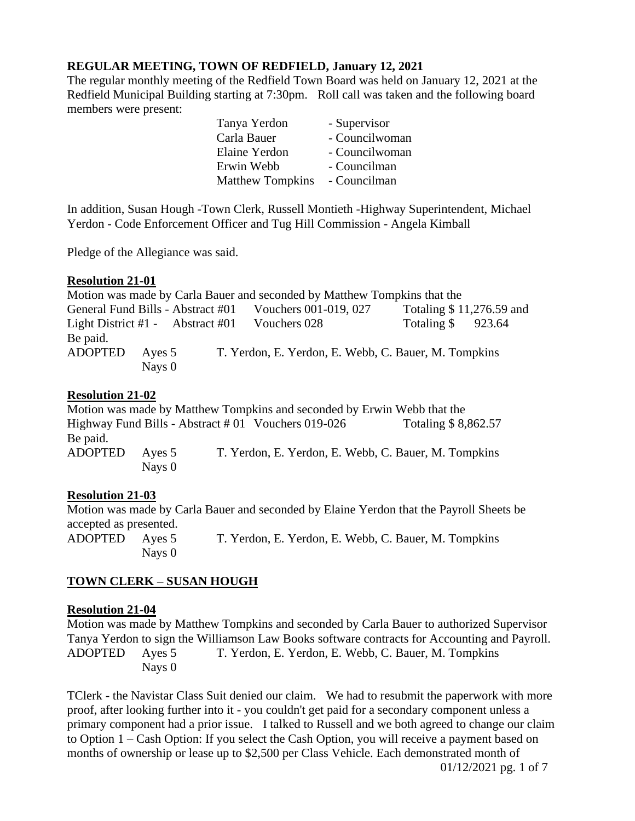## **REGULAR MEETING, TOWN OF REDFIELD, January 12, 2021**

The regular monthly meeting of the Redfield Town Board was held on January 12, 2021 at the Redfield Municipal Building starting at 7:30pm. Roll call was taken and the following board members were present:

| Tanya Yerdon            | - Supervisor   |
|-------------------------|----------------|
| Carla Bauer             | - Councilwoman |
| Elaine Yerdon           | - Councilwoman |
| Erwin Webb              | - Councilman   |
| <b>Matthew Tompkins</b> | - Councilman   |

In addition, Susan Hough -Town Clerk, Russell Montieth -Highway Superintendent, Michael Yerdon - Code Enforcement Officer and Tug Hill Commission - Angela Kimball

Pledge of the Allegiance was said.

#### **Resolution 21-01**

Motion was made by Carla Bauer and seconded by Matthew Tompkins that the General Fund Bills - Abstract #01 Vouchers 001-019, 027 Totaling \$11,276.59 and Light District #1 - Abstract #01 Vouchers 028 Totaling \$ 923.64 Be paid. ADOPTED Ayes 5 T. Yerdon, E. Yerdon, E. Webb, C. Bauer, M. Tompkins Nays 0

#### **Resolution 21-02**

Motion was made by Matthew Tompkins and seconded by Erwin Webb that the Highway Fund Bills - Abstract  $#01$  Vouchers 019-026 Totaling \$ 8,862.57 Be paid. ADOPTED Ayes 5 T. Yerdon, E. Yerdon, E. Webb, C. Bauer, M. Tompkins Nays 0

#### **Resolution 21-03**

Motion was made by Carla Bauer and seconded by Elaine Yerdon that the Payroll Sheets be accepted as presented. ADOPTED Ayes 5 T. Yerdon, E. Yerdon, E. Webb, C. Bauer, M. Tompkins Nays 0

#### **TOWN CLERK – SUSAN HOUGH**

#### **Resolution 21-04**

Motion was made by Matthew Tompkins and seconded by Carla Bauer to authorized Supervisor Tanya Yerdon to sign the Williamson Law Books software contracts for Accounting and Payroll. ADOPTED Ayes 5 T. Yerdon, E. Yerdon, E. Webb, C. Bauer, M. Tompkins Nays 0

TClerk - the Navistar Class Suit denied our claim. We had to resubmit the paperwork with more proof, after looking further into it - you couldn't get paid for a secondary component unless a primary component had a prior issue. I talked to Russell and we both agreed to change our claim to Option 1 – Cash Option: If you select the Cash Option, you will receive a payment based on months of ownership or lease up to \$2,500 per Class Vehicle. Each demonstrated month of 01/12/2021 pg. 1 of 7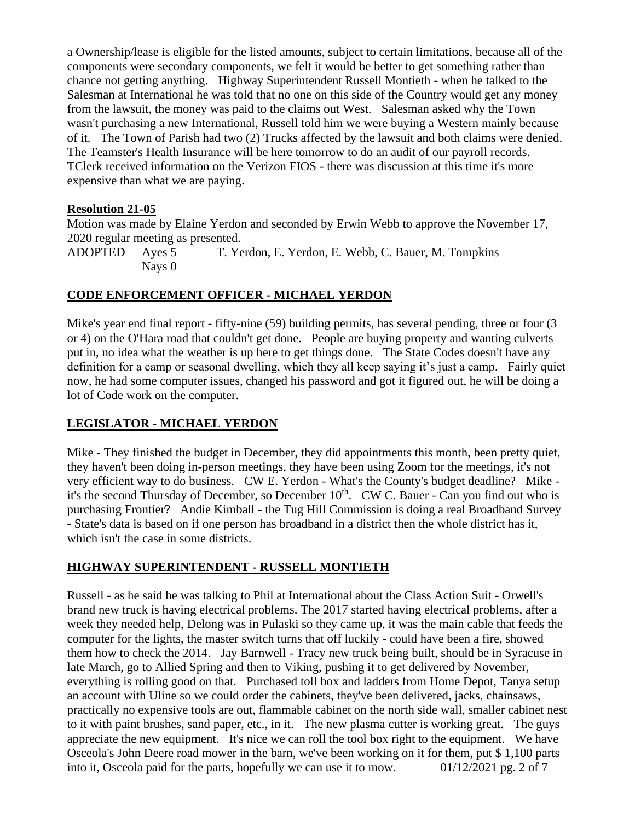a Ownership/lease is eligible for the listed amounts, subject to certain limitations, because all of the components were secondary components, we felt it would be better to get something rather than chance not getting anything. Highway Superintendent Russell Montieth - when he talked to the Salesman at International he was told that no one on this side of the Country would get any money from the lawsuit, the money was paid to the claims out West. Salesman asked why the Town wasn't purchasing a new International, Russell told him we were buying a Western mainly because of it. The Town of Parish had two (2) Trucks affected by the lawsuit and both claims were denied. The Teamster's Health Insurance will be here tomorrow to do an audit of our payroll records. TClerk received information on the Verizon FIOS - there was discussion at this time it's more expensive than what we are paying.

#### **Resolution 21-05**

Motion was made by Elaine Yerdon and seconded by Erwin Webb to approve the November 17, 2020 regular meeting as presented.

ADOPTED Ayes 5 T. Yerdon, E. Yerdon, E. Webb, C. Bauer, M. Tompkins Nays 0

## **CODE ENFORCEMENT OFFICER - MICHAEL YERDON**

Mike's year end final report - fifty-nine (59) building permits, has several pending, three or four (3 or 4) on the O'Hara road that couldn't get done. People are buying property and wanting culverts put in, no idea what the weather is up here to get things done. The State Codes doesn't have any definition for a camp or seasonal dwelling, which they all keep saying it's just a camp. Fairly quiet now, he had some computer issues, changed his password and got it figured out, he will be doing a lot of Code work on the computer.

## **LEGISLATOR - MICHAEL YERDON**

Mike - They finished the budget in December, they did appointments this month, been pretty quiet, they haven't been doing in-person meetings, they have been using Zoom for the meetings, it's not very efficient way to do business. CW E. Yerdon - What's the County's budget deadline? Mike it's the second Thursday of December, so December  $10<sup>th</sup>$ . CW C. Bauer - Can you find out who is purchasing Frontier? Andie Kimball - the Tug Hill Commission is doing a real Broadband Survey - State's data is based on if one person has broadband in a district then the whole district has it, which isn't the case in some districts.

## **HIGHWAY SUPERINTENDENT - RUSSELL MONTIETH**

Russell - as he said he was talking to Phil at International about the Class Action Suit - Orwell's brand new truck is having electrical problems. The 2017 started having electrical problems, after a week they needed help, Delong was in Pulaski so they came up, it was the main cable that feeds the computer for the lights, the master switch turns that off luckily - could have been a fire, showed them how to check the 2014. Jay Barnwell - Tracy new truck being built, should be in Syracuse in late March, go to Allied Spring and then to Viking, pushing it to get delivered by November, everything is rolling good on that. Purchased toll box and ladders from Home Depot, Tanya setup an account with Uline so we could order the cabinets, they've been delivered, jacks, chainsaws, practically no expensive tools are out, flammable cabinet on the north side wall, smaller cabinet nest to it with paint brushes, sand paper, etc., in it. The new plasma cutter is working great. The guys appreciate the new equipment. It's nice we can roll the tool box right to the equipment. We have Osceola's John Deere road mower in the barn, we've been working on it for them, put \$ 1,100 parts into it, Osceola paid for the parts, hopefully we can use it to mow. 01/12/2021 pg. 2 of 7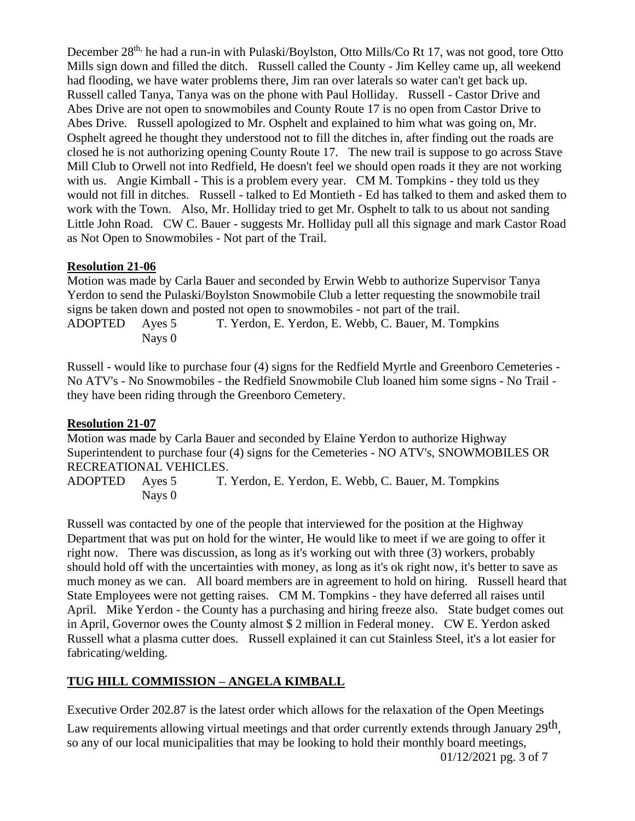December 28<sup>th,</sup> he had a run-in with Pulaski/Boylston, Otto Mills/Co Rt 17, was not good, tore Otto Mills sign down and filled the ditch. Russell called the County - Jim Kelley came up, all weekend had flooding, we have water problems there, Jim ran over laterals so water can't get back up. Russell called Tanya, Tanya was on the phone with Paul Holliday. Russell - Castor Drive and Abes Drive are not open to snowmobiles and County Route 17 is no open from Castor Drive to Abes Drive. Russell apologized to Mr. Osphelt and explained to him what was going on, Mr. Osphelt agreed he thought they understood not to fill the ditches in, after finding out the roads are closed he is not authorizing opening County Route 17. The new trail is suppose to go across Stave Mill Club to Orwell not into Redfield, He doesn't feel we should open roads it they are not working with us. Angie Kimball - This is a problem every year. CM M. Tompkins - they told us they would not fill in ditches. Russell - talked to Ed Montieth - Ed has talked to them and asked them to work with the Town. Also, Mr. Holliday tried to get Mr. Osphelt to talk to us about not sanding Little John Road. CW C. Bauer - suggests Mr. Holliday pull all this signage and mark Castor Road as Not Open to Snowmobiles - Not part of the Trail.

## **Resolution 21-06**

Motion was made by Carla Bauer and seconded by Erwin Webb to authorize Supervisor Tanya Yerdon to send the Pulaski/Boylston Snowmobile Club a letter requesting the snowmobile trail signs be taken down and posted not open to snowmobiles - not part of the trail.

ADOPTED Ayes 5 T. Yerdon, E. Yerdon, E. Webb, C. Bauer, M. Tompkins Nays 0

Russell - would like to purchase four (4) signs for the Redfield Myrtle and Greenboro Cemeteries - No ATV's - No Snowmobiles - the Redfield Snowmobile Club loaned him some signs - No Trail they have been riding through the Greenboro Cemetery.

## **Resolution 21-07**

Motion was made by Carla Bauer and seconded by Elaine Yerdon to authorize Highway Superintendent to purchase four (4) signs for the Cemeteries - NO ATV's, SNOWMOBILES OR RECREATIONAL VEHICLES.

ADOPTED Ayes 5 T. Yerdon, E. Yerdon, E. Webb, C. Bauer, M. Tompkins Nays 0

Russell was contacted by one of the people that interviewed for the position at the Highway Department that was put on hold for the winter, He would like to meet if we are going to offer it right now. There was discussion, as long as it's working out with three (3) workers, probably should hold off with the uncertainties with money, as long as it's ok right now, it's better to save as much money as we can. All board members are in agreement to hold on hiring. Russell heard that State Employees were not getting raises. CM M. Tompkins - they have deferred all raises until April. Mike Yerdon - the County has a purchasing and hiring freeze also. State budget comes out in April, Governor owes the County almost \$ 2 million in Federal money. CW E. Yerdon asked Russell what a plasma cutter does. Russell explained it can cut Stainless Steel, it's a lot easier for fabricating/welding.

# **TUG HILL COMMISSION – ANGELA KIMBALL**

Executive Order 202.87 is the latest order which allows for the relaxation of the Open Meetings

Law requirements allowing virtual meetings and that order currently extends through January 29<sup>th</sup>, so any of our local municipalities that may be looking to hold their monthly board meetings,

01/12/2021 pg. 3 of 7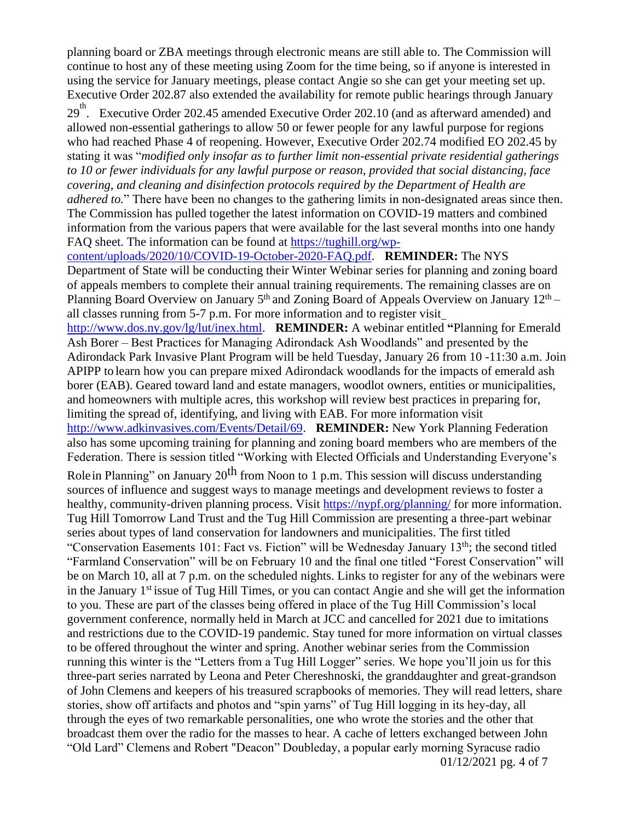planning board or ZBA meetings through electronic means are still able to. The Commission will continue to host any of these meeting using Zoom for the time being, so if anyone is interested in using the service for January meetings, please contact Angie so she can get your meeting set up. Executive Order 202.87 also extended the availability for remote public hearings through January

29<sup>th</sup>. Executive Order 202.45 amended Executive Order 202.10 (and as afterward amended) and allowed non-essential gatherings to allow 50 or fewer people for any lawful purpose for regions who had reached Phase 4 of reopening. However, Executive Order 202.74 modified EO 202.45 by stating it was "*modified only insofar as to further limit non-essential private residential gatherings to 10 or fewer individuals for any lawful purpose or reason, provided that social distancing, face covering, and cleaning and disinfection protocols required by the Department of Health are adhered to.*" There have been no changes to the gathering limits in non-designated areas since then. The Commission has pulled together the latest information on COVID-19 matters and combined

information from the various papers that were available for the last several months into one handy FAQ sheet. The information can be found at [https://tughill.org/wp](https://tughill.org/wp-content/uploads/2020/10/COVID-19-October-2020-FAQ.pdf)[content/uploads/2020/10/COVID-19-October-2020-FAQ.pdf.](https://tughill.org/wp-content/uploads/2020/10/COVID-19-October-2020-FAQ.pdf) **REMINDER:** The NYS Department of State will be conducting their Winter Webinar series for planning and zoning board of appeals members to complete their annual training requirements. The remaining classes are on Planning Board Overview on January  $5<sup>th</sup>$  and Zoning Board of Appeals Overview on January  $12<sup>th</sup>$  – all classes running from 5-7 p.m. For more information and to register visi[t](http://www.dos.ny.gov/lg/lut/inex.html)

[http://www.dos.ny.gov/lg/lut/inex.html.](http://www.dos.ny.gov/lg/lut/inex.html) **REMINDER:** A webinar entitled **"**Planning for Emerald Ash Borer – Best Practices for Managing Adirondack Ash Woodlands" and presented by the Adirondack Park Invasive Plant Program will be held Tuesday, January 26 from 10 -11:30 a.m. Join APIPP to learn how you can prepare mixed Adirondack woodlands for the impacts of emerald ash borer (EAB). Geared toward land and estate managers, woodlot owners, entities or municipalities, and homeowners with multiple acres, this workshop will review best practices in preparing for, limiting the spread of, identifying, and living with EAB. For more information visit [http://www.adkinvasives.com/Events/Detail/69.](http://www.adkinvasives.com/Events/Detail/69) **REMINDER:** New York Planning Federation also has some upcoming training for planning and zoning board members who are members of the Federation. There is session titled "Working with Elected Officials and Understanding Everyone's

Rolein Planning" on January  $20^{th}$  from Noon to 1 p.m. This session will discuss understanding sources of influence and suggest ways to manage meetings and development reviews to foster a healthy, community-driven planning process. Visit<https://nypf.org/planning/> for more information. Tug Hill Tomorrow Land Trust and the Tug Hill Commission are presenting a three-part webinar series about types of land conservation for landowners and municipalities. The first titled "Conservation Easements 101: Fact vs. Fiction" will be Wednesday January 13<sup>th</sup>; the second titled "Farmland Conservation" will be on February 10 and the final one titled "Forest Conservation" will be on March 10, all at 7 p.m. on the scheduled nights. Links to register for any of the webinars were in the January 1st issue of Tug Hill Times, or you can contact Angie and she will get the information to you. These are part of the classes being offered in place of the Tug Hill Commission's local government conference, normally held in March at JCC and cancelled for 2021 due to imitations and restrictions due to the COVID-19 pandemic. Stay tuned for more information on virtual classes to be offered throughout the winter and spring. Another webinar series from the Commission running this winter is the "Letters from a Tug Hill Logger" series. We hope you'll join us for this three-part series narrated by Leona and Peter Chereshnoski, the granddaughter and great-grandson of John Clemens and keepers of his treasured scrapbooks of memories. They will read letters, share stories, show off artifacts and photos and "spin yarns" of Tug Hill logging in its hey-day, all through the eyes of two remarkable personalities, one who wrote the stories and the other that broadcast them over the radio for the masses to hear. A cache of letters exchanged between John "Old Lard" Clemens and Robert "Deacon" Doubleday, a popular early morning Syracuse radio 01/12/2021 pg. 4 of 7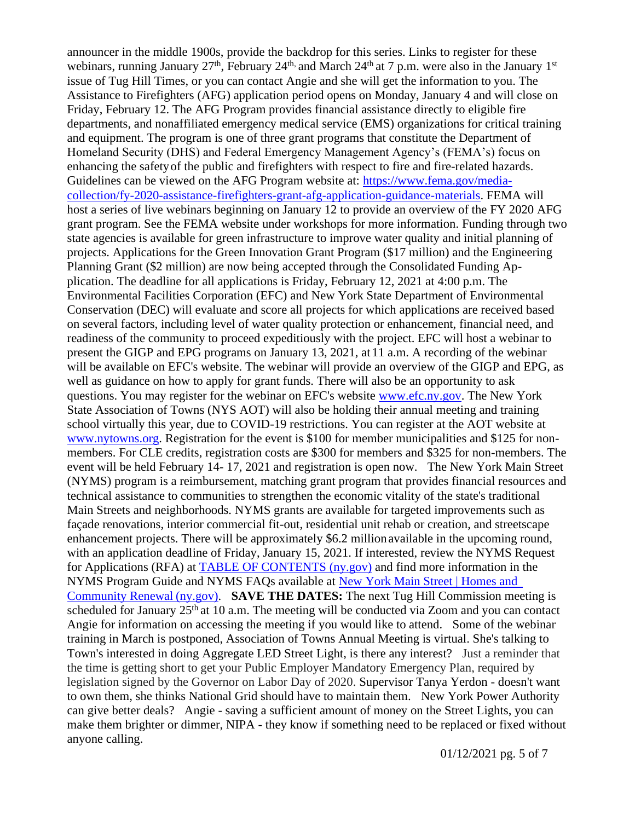announcer in the middle 1900s, provide the backdrop for this series. Links to register for these webinars, running January 27<sup>th</sup>, February 24<sup>th,</sup> and March 24<sup>th</sup> at 7 p.m. were also in the January 1<sup>st</sup> issue of Tug Hill Times, or you can contact Angie and she will get the information to you. The Assistance to Firefighters (AFG) application period opens on Monday, January 4 and will close on Friday, February 12. The AFG Program provides financial assistance directly to eligible fire departments, and nonaffiliated emergency medical service (EMS) organizations for critical training and equipment. The program is one of three grant programs that constitute the Department of Homeland Security (DHS) and Federal Emergency Management Agency's (FEMA's) focus on enhancing the safetyof the public and firefighters with respect to fire and fire-related hazards. Guidelines can be viewed on the AFG Program website at: [https://www.fema.gov/media](https://www.fema.gov/media-collection/fy-2020-assistance-firefighters-grant-afg-application-guidance-materials)[collection/fy-2020-assistance-firefighters-grant-afg-application-guidance-materials.](https://www.fema.gov/media-collection/fy-2020-assistance-firefighters-grant-afg-application-guidance-materials) FEMA will host a series of live webinars beginning on January 12 to provide an overview of the FY 2020 AFG grant program. See the FEMA website under workshops for more information. Funding through two state agencies is available for green infrastructure to improve water quality and initial planning of projects. Applications for the Green Innovation Grant Program (\$17 million) and the Engineering Planning Grant (\$2 million) are now being accepted through the Consolidated Funding Application. The deadline for all applications is Friday, February 12, 2021 at 4:00 p.m. The Environmental Facilities Corporation (EFC) and New York State Department of Environmental Conservation (DEC) will evaluate and score all projects for which applications are received based on several factors, including level of water quality protection or enhancement, financial need, and readiness of the community to proceed expeditiously with the project. EFC will host a webinar to present the GIGP and EPG programs on January 13, 2021, at 11 a.m. A recording of the webinar will be available on EFC's website. The webinar will provide an overview of the GIGP and EPG, as well as guidance on how to apply for grant funds. There will also be an opportunity to ask questions. You may register for the webinar on EFC's website [www.efc.ny.gov.](http://www.efc.ny.gov/) The New York State Association of Towns (NYS AOT) will also be holding their annual meeting and training school virtually this year, due to COVID-19 restrictions. You can register at the AOT website at [www.nytowns.org.](http://www.nytowns.org/) Registration for the event is \$100 for member municipalities and \$125 for nonmembers. For CLE credits, registration costs are \$300 for members and \$325 for non-members. The event will be held February 14- 17, 2021 and registration is open now. The New York Main Street (NYMS) program is a reimbursement, matching grant program that provides financial resources and technical assistance to communities to strengthen the economic vitality of the state's traditional Main Streets and neighborhoods. NYMS grants are available for targeted improvements such as façade renovations, interior commercial fit-out, residential unit rehab or creation, and streetscape enhancement projects. There will be approximately \$6.2 million available in the upcoming round, with an application deadline of Friday, January 15, 2021. If interested, review the NYMS Request for Applications (RFA) at [TABLE OF CONTENTS](https://hcr.ny.gov/system/files/documents/2020/11/2020-ocr-rfa-nyms.pdf) [\(ny.gov\)](https://hcr.ny.gov/system/files/documents/2020/11/2020-ocr-rfa-nyms.pdf) and find more information in the NYMS Program Guide and NYMS FAQs available at [New York Main Street | Homes and](https://hcr.ny.gov/new-york-main-street)  [Community Renewal](https://hcr.ny.gov/new-york-main-street) (ny.gov). **SAVE THE DATES:** The next Tug Hill Commission meeting is scheduled for January  $25<sup>th</sup>$  at 10 a.m. The meeting will be conducted via Zoom and you can contact Angie for information on accessing the meeting if you would like to attend. Some of the webinar training in March is postponed, Association of Towns Annual Meeting is virtual. She's talking to Town's interested in doing Aggregate LED Street Light, is there any interest? Just a reminder that the time is getting short to get your Public Employer Mandatory Emergency Plan, required by legislation signed by the Governor on Labor Day of 2020. Supervisor Tanya Yerdon - doesn't want to own them, she thinks National Grid should have to maintain them. New York Power Authority can give better deals? Angie - saving a sufficient amount of money on the Street Lights, you can make them brighter or dimmer, NIPA - they know if something need to be replaced or fixed without anyone calling.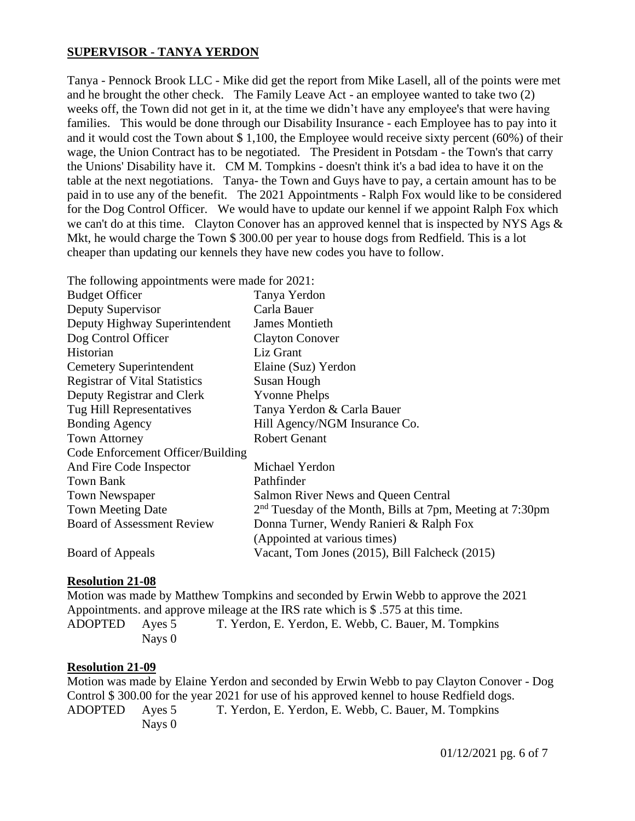## **SUPERVISOR - TANYA YERDON**

Tanya - Pennock Brook LLC - Mike did get the report from Mike Lasell, all of the points were met and he brought the other check. The Family Leave Act - an employee wanted to take two (2) weeks off, the Town did not get in it, at the time we didn't have any employee's that were having families. This would be done through our Disability Insurance - each Employee has to pay into it and it would cost the Town about \$ 1,100, the Employee would receive sixty percent (60%) of their wage, the Union Contract has to be negotiated. The President in Potsdam - the Town's that carry the Unions' Disability have it. CM M. Tompkins - doesn't think it's a bad idea to have it on the table at the next negotiations. Tanya- the Town and Guys have to pay, a certain amount has to be paid in to use any of the benefit. The 2021 Appointments - Ralph Fox would like to be considered for the Dog Control Officer. We would have to update our kennel if we appoint Ralph Fox which we can't do at this time. Clayton Conover has an approved kennel that is inspected by NYS Ags  $\&$ Mkt, he would charge the Town \$ 300.00 per year to house dogs from Redfield. This is a lot cheaper than updating our kennels they have new codes you have to follow.

| The following appointments were made for 2021: |                                                             |
|------------------------------------------------|-------------------------------------------------------------|
| <b>Budget Officer</b>                          | Tanya Yerdon                                                |
| Deputy Supervisor                              | Carla Bauer                                                 |
| Deputy Highway Superintendent                  | <b>James Montieth</b>                                       |
| Dog Control Officer                            | <b>Clayton Conover</b>                                      |
| Historian                                      | Liz Grant                                                   |
| <b>Cemetery Superintendent</b>                 | Elaine (Suz) Yerdon                                         |
| <b>Registrar of Vital Statistics</b>           | Susan Hough                                                 |
| Deputy Registrar and Clerk                     | <b>Yvonne Phelps</b>                                        |
| Tug Hill Representatives                       | Tanya Yerdon & Carla Bauer                                  |
| <b>Bonding Agency</b>                          | Hill Agency/NGM Insurance Co.                               |
| <b>Town Attorney</b>                           | <b>Robert Genant</b>                                        |
| Code Enforcement Officer/Building              |                                                             |
| And Fire Code Inspector                        | Michael Yerdon                                              |
| <b>Town Bank</b>                               | Pathfinder                                                  |
| <b>Town Newspaper</b>                          | Salmon River News and Queen Central                         |
| <b>Town Meeting Date</b>                       | $2nd$ Tuesday of the Month, Bills at 7pm, Meeting at 7:30pm |
| <b>Board of Assessment Review</b>              | Donna Turner, Wendy Ranieri & Ralph Fox                     |
|                                                | (Appointed at various times)                                |
| Board of Appeals                               | Vacant, Tom Jones (2015), Bill Falcheck (2015)              |

#### **Resolution 21-08**

Motion was made by Matthew Tompkins and seconded by Erwin Webb to approve the 2021 Appointments. and approve mileage at the IRS rate which is \$ .575 at this time. ADOPTED Ayes 5 T. Yerdon, E. Yerdon, E. Webb, C. Bauer, M. Tompkins Nays 0

## **Resolution 21-09**

Motion was made by Elaine Yerdon and seconded by Erwin Webb to pay Clayton Conover - Dog Control \$ 300.00 for the year 2021 for use of his approved kennel to house Redfield dogs. ADOPTED Ayes 5 T. Yerdon, E. Yerdon, E. Webb, C. Bauer, M. Tompkins Nays 0